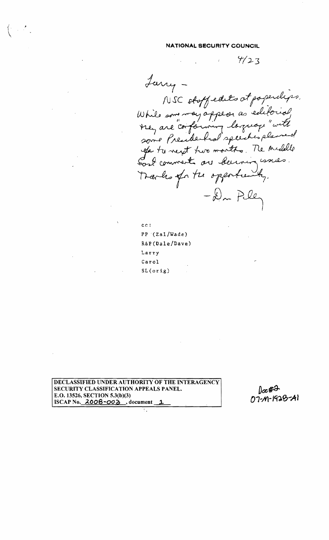## **NATIONAL SECURITY COUNCIL**

*'t!J-*J

Jarry -NSC oboffedets at paperdyss. While some may appear as editoired of the next two months. The middle East comment are becoming usuas. Tracks for the opportunity.  $-\lambda$ m Pilez

cc: PP (Zal/Wade) R&P(Dale/Dave) Larry Carol SL(orig)

DECLASSIFIED UNDER AUTHORITY OF THE INTERAGENCY SECURITY CLASSIFICATION APPEALS PANEL. E.O. 13526, SECTION 5.3(b)(3) ISCAP No. 2008-003 , document 1

','

 $\int \alpha \cdot \pi$ 07-M-1928-AI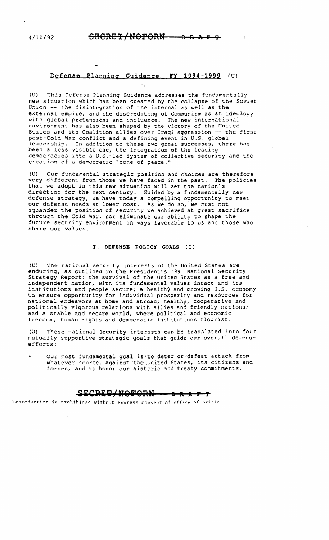## 4/16/92 **SBCRB'f/!lOFORN** <sup>8</sup>FIe A **F i'** <sup>1</sup>

## Defense Planning Guidance. FY 1994-1999 (U)

(U) Th:s Defense Planning Guidance addresses the fundamentally new situation which has been created by the collapse of the Soviet Union  $-$  the disintegration of the internal as well as the external empire, and the discrediting of Communism as an ideology with global pretensions and influence. The new international environment has also been shaped by the victory of the United States and its Coalition allies over Iraqi aggression -- the first post-Cold War conflict and a defining event in U.S. global leadership. In addition to these two great successes, there has been a less visible one, the integration of the leading democracies into a U,S.-led system of collective security and the creation of a democratic "zone of peace."

(U) Our fundamental strategic position and choices ate therefore very different from those we have faced in the past. The policies that we adopt in this new situation will set the nation's direction for the next century. Guided by a fundamentally new defense strategy, we have today a compelling opportunity to meet our defense needs at lower cost. As we do so, we must not squander the position of security we achieved at great sacrifice through the Cold War, nor eliminate our ability to shape the future security environment in ways favorable to us and those who share our values.

#### I. DEFENSE POLICY GOALS (U)

(D) The national security interests of the United States are enduring, as outlined in the President's 1991 National Security Strategy Report: the survival of the United States as a free and independent nation, with its fundamental values intact and its institutions and people secure; a healthy and-growing U.S. economy to ensure opportunity for individual prosperity and resources for national endeavors at home and abroad; healthy, cooperative and political:y vigorous relations with allies and friendly nations; and a stable and secure world, where political and economic freedom, human rights and democratic institutions flourish.

(U) These national security interests can be translated into four mutually supportive strategic goals that guide our overall defense efforts:

Our most fundamental goal is to deter or defeat attack from whatever source, against the United States, its citizens and forces, and to honoe our historic and treaty commitments.

# SECRET/NOFORN --- **B** R A F T

Septed wetten is probibited without express consent of office of origin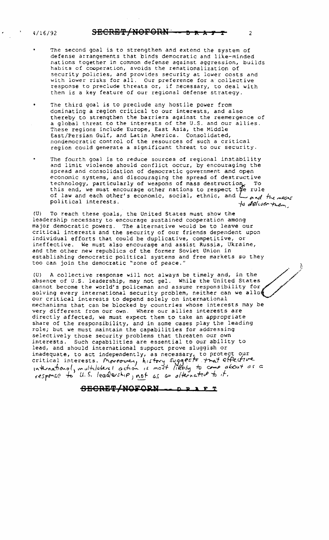.Q/l6/92 **SECRB'f/NOPORN** <sup>2</sup>

- The second goal is to strengthen and extend the system of defense arrangements that binds democratic and like-minded nations together in common defense against aggression, builds habits of cooperation, avoids the renationalization of security policies, and provides security at lower costs and with lower risks for all. Our preference for a' collective response to preclude threats or, if hecessary, to deal with them is a key feature of our regional defense strategy.
- The third goal is to preclude any hostile power from dominating a region critical to our interests, and also thereby to strengthen the barriers against the reemergence of a global threat to the interests of the U.S. and our allies. These regions include Europe, East Asia, the Middle East/Persian Gulf, and Latin America. Consolidated, nondemocratic control of the resources of such a critical region could generate a significant threat to our security.
- The fourth goal is to reduce sources of regional instability and limit violence should conflict occur, by encouraging the spread and consolidation of democratic government and open economic systems, and discouraging the spread of destructive<br>technology, particularly of weapons of mass destruction. To technology, particularly of weapons of mass destruction. To<br>this end, we must encourage other nations to respect the rule<br>of law and each other's economic, social, ethnic, and  $\bigcup_{\alpha \wedge d} f_{\text{N}}$  meas<br>political interests. this end, we must encourage other nations to respect the rule political interests.

To reach these goals, the United States must show the leadership necessary to encourage sustained cooperation among major democratic powers. The alternative would be to leave our critical interests and the security of our friends dependent upon individual efforts that could be duplicative, competitive, or ineffective. We must also encourage and assist Russia, Ukraine, and the other new republics of the former Soviet Union in establishing democratic political systems and free markets so they too can join the democratic "zone of peace."

{U) A collective response will not always be timely and, in the absence of U.S. leadership, may not gel. While the United States cannot become the world's policeman and assume responsibility for solving every international security problem, neither can we allot our critical interests to depend solely on international mechanisms that can be blocked by countries whose interests may be very different from our own. Where our allies interests are directly affected, we must expect them to take an appropriate share of the responsibility, and in some cases play the leading role; but we must maintain the capabilities for addressing selectively those security problems that threaten our own interests. Such capabilities are essential to our ability to lead, and should international support prove sluggish or inadequate, to act independently, as necessary, to protect our critical interests. Moveover, history suggests that effective  $int$ nternational, multilateral action is most likely to come about os a response to U.S. leadership, not as an *olternative* to it.

SB€RET/Hgi'Oa~ • D R J **F T**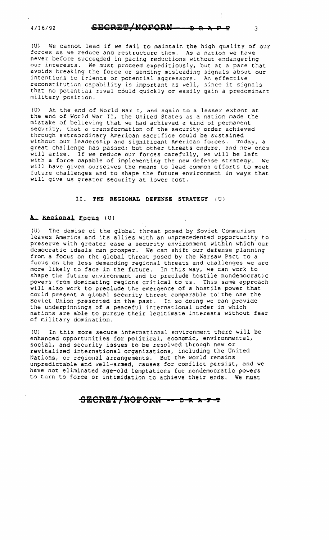## **4/16/92 SECRET/NOFORN BRAP 2**

(U) We cannot lead if we fail to maintain the high quality of our forces as we reduce and restructure them. As a nation we have never before succeeded in pacing reductions without endangering our interests. We must proceed expeditiously, but at a pace that avoids breaking the force or sending misleading signals about our intentions to friends or potential aggressors. An effective reconstitution capability is impprtant as well, since it signals that no potential rival could quickly or easily gain a predominant military position.

(U) At the end of World War I, and again to a lesser extent at the end of World War TI, the United States as a nation made the mistake of believing that we had achieved a kind of permanent security, that a transformation of the security order achieved through extraordinary American sacrifice could be sustained without our leadership and significant American forces. Today. a great challenge has passed; but other threats endure, and new ones will arise. If we reduce our forces carefully, we will be left with a force capable of implementing the new defense strategy. We will have given ourselves the means to lead common efforts to meet future challenges and to shape the future environment in ways that will give us greater security at lower cost.

## **II. THE REGIONAL DEFENSE STRATEGY** (U)

#### A. Regional Focus (U)

(U) The demise of the global threat posed by Soviet Communism leaves America and its allies with an unprecedented opportunity to preserve with greater ease a security environment within which our democratic ideals can prosper. We can shift our defense planning from a focus on the global threat posed by the Warsaw Pact to a focus on the less demanding regional threats and challenges we are more likely to face in the future. In this way, we can work to shape the future environment and to preclude hostile nondemocratic powers from dominating regions critical to us. This same approach will also work to preclude the emergence of a hostile power that could present a global security threat comparable to the one the Soviet Vnion presented in the past. In so doing we can provide the underpinnings of a peaceful international order in which nations are able to pursue their legitimate interests without fear of military domination.

*(C)* In this more secure international environment there will be enhanced opportunities for political, economic, environmental, social, and security issues to be resolved through new or revitalized international organizations, including the United Nations, or regional arrangements. But the world remains unpredictable and well-armed, causes for: conflict persist, and we have not eliminated age-old temptations for nondemocratic powers to turn to force or intimidation to achieve their ends. We must

**SHeRE'! /NOFORN = 8RAP'f**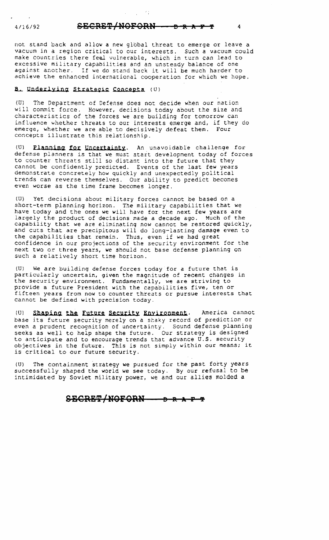## **4/16/92 SECRET/NOFORN BRAFT** 4

not stand back and allow a new glbbal threat to emerge or leave a vacuum in a region critical to our interests. Such a vacuum could make countries there feel vulnerable, which in turn can lead to excessive military capabilities and an unsteady balance of one against another. If we do stand back it will be much harder to achieve the enhanced international cooperation for which we hope.

## $B_+$  Underlying Strategic Concepts (0)

(U) The Department of Defense does not decide when our nation<br>"Will corrit faces... However, decisions today about the size and will commit force. However, decisions today about the size and characteristics of the forces we are building for tomorrow can influence whether threats to our interests emerge and, if they do emerge, whether we are able to decisively defeat them. Four concepts illustrate this relationship.

(U) Planning for Uncertainty. An unavoidable challenge for defense planners is that we must start development today of forces to counter threats still so distant into the future that they cannot be confidently predicted. Events of the last few years demonstrate concretely how quickly and unexpectedly political trends can reverse themselves. Our ability to predict becomes even worse as the time frame becomes longer.

(U) Yet decisions about military forces cannot be based on a short-term planning horizon. The military capabilities that we have today and the ones we will have for the next few years are largely the product of decisions made a decade ago. Much of the capability that we are eliminating now cannot be restored quickly, and cuts that are precipitous will do long-lasting damage even to the capabilities that remain. Thus, even if we had great confidence in our projections of the security environment for the next two or three years, we should not base defense planning on such a relatively short time horizon.

(U) We are building defense forces today for a future that is particularly uncertain, given the magnitude of recent changes in the security environment. Fundamentally, we are striving to provide a future President with the capabilities five, ten or fifteen years from now to counter threats or pursue interests that cannot be defined with precision today.

(0) **ShAping Fyture Secytity Enyironment.** America cannot base its future security merely on a staky record of prediction or even a prudent recognition of uncertainty. Sound defense planning seeks as well to help shape the future. Our strategy is designed to anticipate and to encourage trends that advance U.S. security objectives in the future. This is not simply within our means; it is critical to our future security.

(U) The containment strategy we pursued for the past forty years successfully shaped the world we see today. By our refusal to be intimidated by Soviet military power, we and our allies molded a

**SECRET/NOFORN <b>8RLCRET**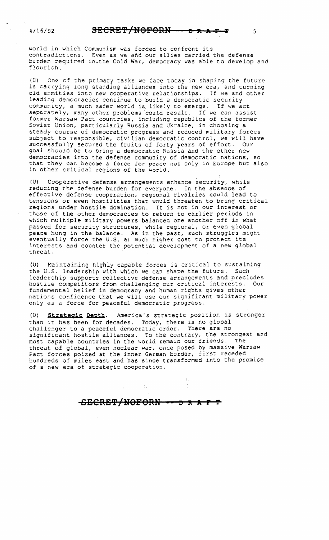world in which Communism was forced to confront its contradictions. Even as we ahd our allies carried the defense burden required in\_the Cold War, democracy was able to develop and flourish.

 $(0)$  One of the primary tasks we face today in shaping the future is carrying long standing alliances into the new era, and turning old enmities into new cooperative relationships. :f we and other leading democracies continue to build a democratic security community, a much safer world is likely to emerge. If we act separately, many other problems could result. If we can assist former Warsaw Pact countries, including republics of the former Soviet Onion, particularly Russia and Ukraine, in choosing a steady course of democratic progress and reduced military forces subject to responsible, civilian democratic control, we will have successfully secured the fruits of forty years of effort. Our goal should be to bring a democratic Russia and the other new democracies into the defense community of democratic nations, so that they can become a force for peace not only in Europe but also in other critical regions of the world.

(U) Cooperative defense arrangement5 enhance security, while reducing the defense burden for everyone. In the absence of effective defense cooperation, regional rivalries could lead to tensions or even hostilities that would threaten to bring critical regions under hostile domination. It is not in our interest or those of the other democracies to return to earlier periods in which multiple military powers balanced one another off in what passed for security structures, while regional, or even global peace hung in the balance. As in the past, such struggles might eventually force the U.S. at much higher cost to protect its interests and counter the potential development of a new global threat.

(U) Maintaining highly capable forces is crit:cal to sustaining the U.S. leadership with which we can shape the future. Such leadership supports collective defense arrangements and precludes hostile competitors from challenging our critical interests. Our fundamental belief in democracy and human rights gives other nations confidence that we will use our significant military power only as a force for peaceful democratic progress.

{U} **Strategic peptll.** America's strategic pOSition. is stronger than it has been for decades. Today, there is no global challenger to a peaceful democratic order. There are no significant hostile alliances. To the contrary, the strongest and most capable countries in the world remain our friends. The threat of global, even nuclear war, once posed by massive Warsaw Pact forces poised at the inner German border, first receded hundreds of miles east and has since transformed into the promise of a new era of strategic cooperation.

**S:SCRS'f/NOPORN uu f' It A P !'** 

 $\ddot{\ddot{\phantom{z}}}\,$ 

t,'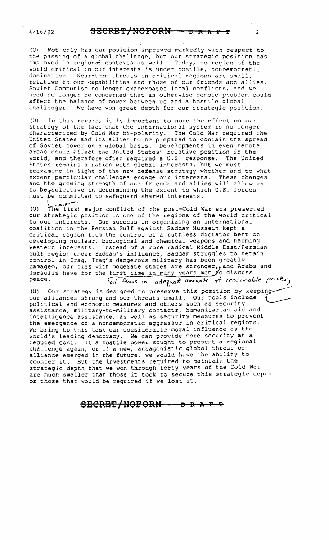4/16/92 **SECRE'f/NOFORN s= !) It A P 'f** <sup>6</sup>

(Ul Not only has our position improved markedly with respect to the passing of a global challenge, but our strategic position has improved in regional contexts as well. Today, no region of the world critical to our interests is under hostile, nondemocratic domination. Near-term threats in critical regions are small, relative to our capabilities and those of our friends and allies. Soviet Communism no longer exacerbates local conflicts, and we need no longer be concerned that an otherwise remote problem could affect the balance of power between us and a hostile global challenger. We have won great depth for our strategic position.

(U) In this regard, it is important to note the effect on our strategy of the fact that the international system is no longer characterized by Cold War bi-polarity. The Cold War required the United States and its allies to be prepared to contain the spread of Soviet power on a global basis. Developments in even remote areas could affect the United States' relative position in the world, and therefore often required a U.S. response. The United States remains a nation with global interests, but we must reexamine in light of the new defense strategy whether and to what extent particular challenges engage our interests. These changes and the growing strength of our friends and allies will allow us to be<sub>f</sub>selective in determining the extent to which U.S. forces must be committed to safeguard shared interests.<br> $\begin{array}{c} \n\text{where} \n\end{array}$ 

(U) The first major conflict of the post-Cold War era preserved (U) The first major conflict of the post-Cold War era preserved<br>our strategic position in one of the regions of the world critical to our interests. Our success in organizing an international coalition in the Persian Gulf against Saddam Hussein kept a critical region from the control of a ruthless dictator bent on developing nuclear, biological and chemical weapons and harming Western interests. Instead of a more radical Middle East/Persian Gulf region under Saddam's influence, Saddam struggles to retain control in Iraq, Iraq's dangerous military has been greatly damaged, our ties with moderate states are stronger, and Arabs and Israelis have for the first time in many years met  $\cancel{v}$  discuss peace.

On flows in adequate amounts of reasonable prices,<br>designed to preserve this position by keeping<br>ind our threats small. Our tools include ( (U) Our strategy is designed to preserve this position by keeping our alliances strong and our threats small. Our tools political and economic measures and others such as security assistance, military-to-military contacts, humanitarian aid and intelligence assistance, as well as security measures to prevent the emergence of a nondemocratic aggressor in critical regions. We bring to this task our considerable moral influence as the world's leading democracy. We can pcovide more security at a reduced cost. If a hostile power sought to present a regional challenge again, or if a new, antagonistic global threat or alliance emerged in the future, we would have the ability to counter it. But the investments required to maintain the strategic depth that we won through forty years of the Cold War are much smaller than those it took to secure this strategic depth or those that would be required if we lost it.

**SHORB'!' /HOPORN aa e If: Ie P 'i'**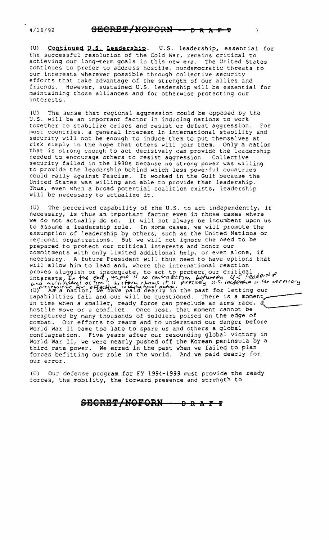**4/16/92 SECRET/NOFORN -- <del>b R A F T</del> 7** 

(U) Continued U.S. Leadership. U.S. leadership, essential for the successful resolution of the Cold War, remains critical to achieving our long-term goals in this new era. The United States continues to prefer to address hostile, nondemocratic threats to our interests wherever possible through collective security efforts that take advantage of the strength of our allies and friends. However, sustained U.S. leadership will be essential for maintaining those alliances and for otherwise protecting our interests.

(U) The sense that regional aggression could be opposed by the U.S. will be an important factor in inducing nations to work together to stabilize crises and resist or defeat aggression. For most countries, a general interest in international stability and security will not be enough to induce them to put themselves at risk simply in the hope that others will join them. Only a nation that is strong enough to act decisively can provide the leadership needed to encourage others to resist aggression. Collective security failed in the 19305 because no strong power was willing to provide the leadership behind which less powerful countries could rally against Fascism. It worked in the Gulf because the United States was willing and able to provide that leadership. Thus, even when a broad potential coalition exists, leadership will be necessary to actualize it.

(U) The perceived capability of the U.S. to act independently, if necessary, is thus an important factor even in those cases where we do not actually do so. It will not always be incumbent upon us to assume a leadership role. In some cases, we will promote the assumption of leadership by others, such as the United Nations or regional organizations. But we will not ignore the need to be prepared to protect our critical interests and honor our commitments with only limited additional help, or even alone, if necessary. A future President will thus need to have options that will allow him to lead and, where the international reaction proves sluggish or inadequate, to act to protect, our critical Angle interests. In the end, there is no controdiction between U.C. (eaderships) and nuthlateral action '; history shows it is precisely u.s. leadentin is the necessary.<br>(U) <sup>re</sup> As a nation, we have paid dearly in the past for letting our capabilities fall and our will be questioned. There is a moment in time when a smaller, ready force can preclude an arms race,  $\vec{\mathbf{a}}$ hostile move or a conflict. Once lost, that moment cannot be recaptured by many thousands of soldiers poised on the edge of cornbat. Our efforts to rearm and to understand our danger before World War II came too late to spare us and others a global conflagration. Five years after our resounding global victory in World War II, we were nearly pushed off the Korean peninsula by a third rate power. We erred in the past when we failed to plan forces befitting our role in the world. And we paid dearly for our error.

 $(U)$  Our defense program for FY 1994-1999 must provide the ready forces, the mObility, the forward presence and strength to

**SECRBT/NOFORN** 9 R A **F !l**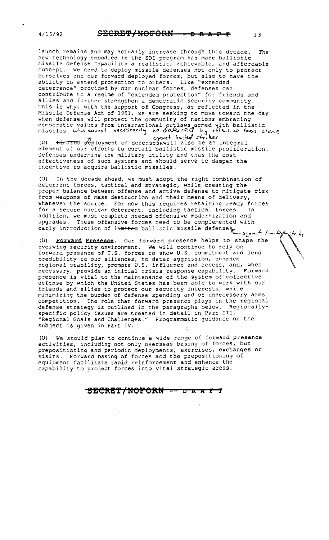SECRET/NOFORN- $13$ 

launch remains and may actually increase through this decade. The new technology embodied in the SDI program has made ballistic missile defense capability a realistic, achievable, and affordable concept. We need to deploy missile defenses not only to protect ourselves and our forward deployed forces, but also to have the ability to extend protection to others. Like "extended deterrence" provided by our nuclear forces, defenses can contribute to a regime of "extended protection" for friends and allies and further strengthen a democratic security community. This is why, with the support of Congress, as reflected in the Missile Defense Act of 1991, we are seeking to move toward the day when defenses will protect the community of nations embracing democratic values from international outlaws armed with ballistic missiles. Who cannot necessarily be deferred by effective fores alone against limited strikes Limited deployment of defensesAwill also be an integral  $(U)$ element of our efforts to curtail ballistic missile proliferation.

Defenses undermine the military utility and thus the cost effectiveness of such systems and should serve to dampen the incentive to acquire ballistic missiles.

 $(U)$ In the decade ahead, we must adopt the right combination of deterrent forces, tactical and strategic, while creating the proper balance between offense and active defense to mitigate risk from weapons of mass destruction and their means of delivery, whatever the source. For now this requires retaining ready forces for a secure nuclear deterrent, including tactical forces. In addition, we must complete needed offensive modernization and upgrades. These offensive forces need to be complemented with early introduction of limited ballistic missile defenses -ageinst limited

 $(U)$ Forward Presence. Our forward presence helps to shape the evolving security environment. We will continue to rely on forward presence of U.S. forces to show U.S. commitment and lend credibility to our alliances, to deter aggression, enhance regional stability, promote U.S. influence and access, and, when necessary, provide an initial crisis response capability. Forward presence is vital to the maintenance of the system of collective defense by which the United States has been able to work with our friends and allies to protect our security interests, while minimizing the burden of defense spending and of unnecessary arms competition. The role that forward presence plays in the regional defense strategy is outlined in the paragraphs below. Regionallyspecific policy issues are treated in detail in Part III, "Regional Goals and Challenges." Programmatic guidance on the subject is given in Part IV.

We should plan to continue a wide range of forward presence  $(U)$ activities, including not only overseas basing of forces, but prepositioning and periodic deployments, exercises, exchanges or visits. Forward basing of forces and the prepositioning of equipment facilitate rapid reinforcement and enhance the capability to project forces into vital strategic areas.

<del>SECRET/NOFORN -- DRAFT</del>

#### $4/16/92$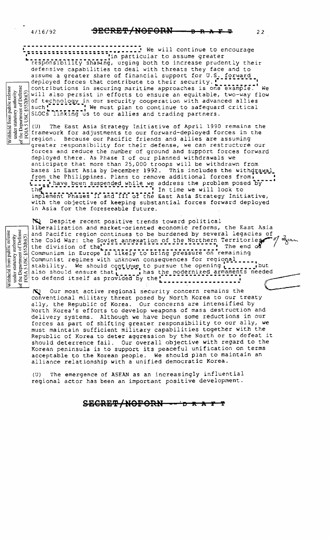<del>SECRET/NOFORN</del>

responsibility sharing, urging both to increase prudently their defensive capabilities to deal with threats they face and to assume a greater share of financial support for U.S. forward. under statutory authority<br>
the Department of Defense<br>
FOIA 5 USC §552(b)(5) will also persist in efforts to ensure an equitable, two-way flow of technology in our security cooperation with advanced allies<br>such! We must plan to continue to safeguard critical SLOCS linking us to our allies and trading partners.

The East Asia Strategy Initiative of April 1990 remains the  $(U)$ framework for adjustments to our forward-deployed forces in the region. Because our Pacific friends and allies are assuming greater responsibility for their defense, we can restructure our forces and reduce the number of ground and support forces forward deployed there. As Phase I of our planned withdrawals we anticipate that more than 25,000 troops will be withdrawn from bases in East Asia by December 1992. This includes the withdrawal from the Philippines. Plans to remove additional forces from: thave been suspended while we address the problem posed by  $\frac{1}{2}$  ine  $\frac{1}{2}$ implement Phases If and Iff of the East Asia Strategy Initiative, with the objective of keeping substantial forces forward deployed in Asia for the foreseeable future.

No Despite recent positive trends toward political liberalization and market-oriented economic reforms, the East Asia and Pacific region continues to be burdened by several legacies of the Cold War: the Soviet annexation of the Northern Territories the division of the Communism in Europe is likely to bring pressure on remaining Communist regimes with unknown consequences for regional \_\_\_\_\_ stability. We should continue to pursue the opening with but also should ensure that  $\frac{1}{2}$  has the modernized armaments needed to defend itself as provided by the!

N Our most active regional security concern remains the conventional military threat posed by North Korea to our treaty ally, the Republic of Korea. Our concerns are intensified by North Korea's efforts to develop weapons of mass destruction and delivery systems. Although we have begun some reductions in our forces as part of shifting greater responsibility to our ally, we must maintain sufficient military capabilities together with the Republic of Korea to deter aggression by the North or to defeat it should deterrence fail. Our overall objective with regard to the Korean peninsula is to support its peaceful unification on terms acceptable to the Korean people. We should plan to maintain an alliance relationship with a unified democratic Korea.

(U) The emergence of ASEAN as an increasingly influential regional actor has been an important positive development.

under statutory authority<br>of the Department of Defense<br>FOIA 5 USC  $$520b(5)$ Withheld from public release ह

Withheld from public release

<del>SECRET/NOFORN</del> <del>——"D—R</del>

 $4/16/92$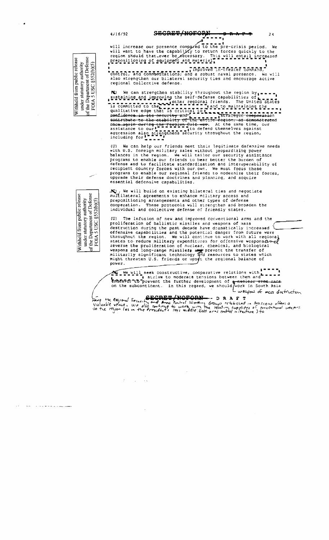$4/16/92$ 

under statutory authority<br>of the Department of Defense<br>FOIA 5 USC  $\S{552(b)(5)}$ Withheld from public release

will increase our presence compared to the pre-crisis period. We will want to have the capability to return forces quickly to the region should that ever be mediatory. This will entail increased prepositioning of equipment and material.

 $24$ 

SECRET/NOFORN

.<br>"Control, and communications, and a cobust naval presence. We will also strengthen our bilateral security ties and encourage active regional collective defense.

(C) We can strengthen stability throughout the region by  $\mathbf{I} = \mathbf{I} = \mathbf{I}$ <br>
sustaining and improving the self-defense capabilities of<br>
Is committed to the  $\mathbf{I} = \mathbf{I}$  and the maintaining the<br>
susitative edge that pace again during the Persian Culture. At the same time, our assistance to our the Persian Culture of the same time, our assistance to our the Persian security throughout the region, including for  $\frac{1}{2}$  =  $\frac{1}{2}$ .

(0) We can help our friends meet their legitimate defensive needs vith U.S. foreign military sales without jeopardizing power<br>balances in the region. We will tailor our security assistance programs to enable our friends to bear better the burden of defense and to facilitate standardization and interoperability of recipient country forces with our own. We must focus these programs to enable our regional friends to modernize their forces. upgrade their defense doctrines and planning, and acquire essential defensive capabilities.

under statutory authority<br>of the Department of Defense<br> $FOA S USC$   $S52(b)(5)$ Withheld from public release

the contract of the contract of the contract of

, We will build on existing bilateral ties and negotiate  $\mathbf{X}$ multilateral agreements to enhance military access and prepositioning arrangements and other types of defense cooperation. These protocols will strengthen and broaden the individual and collective defense of friendly states.

The infusion of new and improved conventional arms and the 70 L proliferation of ballistic missiles and weapons of mass destruction during the past decade have dramatically increased offensive capabilities and the potential danger from future wers throughout the region. We will continue to work with all regional states to reduce military expenditures for offensive weapons and reverse the proliferation of nuclear, chemical, and biological weapons and long-range missiles, and prevent the transfer of militarily significant technology and resources to states which might threaten U.S. friends or upset the regional balance of power.

We will seek constructive, cooperative relations with seems of the strate to moderate tensions between them and endeavor to prevent the further development of a nuclear arms race on the subcontinent. In this regard, we should work in South Asia L weapons of mass destruction

(<br>Here the Regional Security and Anns Control Working Groups retabilitied in Moscowy offers a<br>Valuable venue, We olso continues to work with the leading suppliers of conventional weapors.<br>to the region las in the President